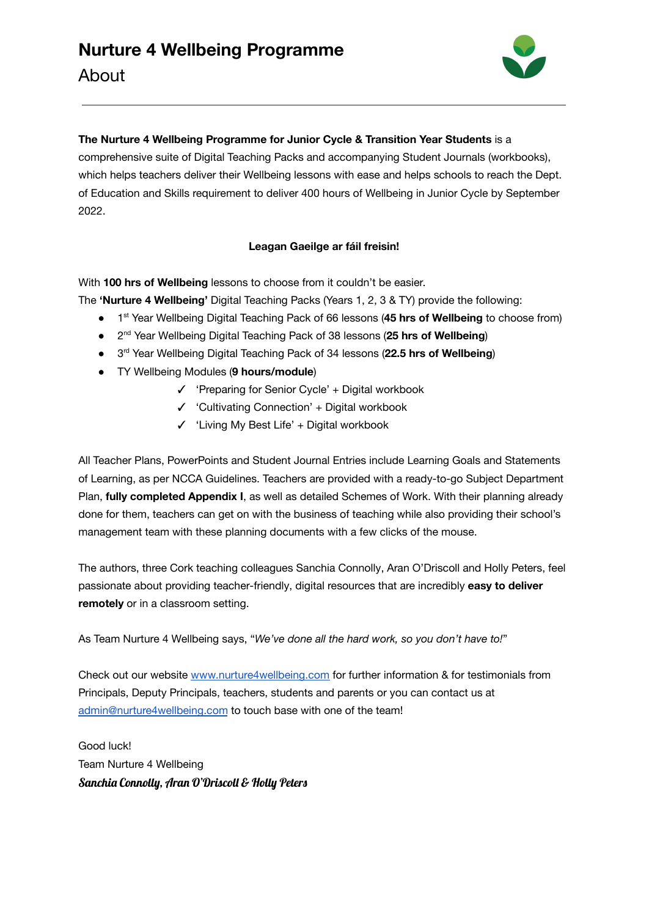

## **The Nurture 4 Wellbeing Programme for Junior Cycle & Transition Year Students** is a comprehensive suite of Digital Teaching Packs and accompanying Student Journals (workbooks), which helps teachers deliver their Wellbeing lessons with ease and helps schools to reach the Dept. of Education and Skills requirement to deliver 400 hours of Wellbeing in Junior Cycle by September 2022.

## **Leagan Gaeilge ar fáil freisin!**

With **100 hrs of Wellbeing** lessons to choose from it couldn't be easier.

The **'Nurture 4 Wellbeing'** Digital Teaching Packs (Years 1, 2, 3 & TY) provide the following:

- 1 st Year Wellbeing Digital Teaching Pack of 66 lessons (**45 hrs of Wellbeing** to choose from)
- 2 nd Year Wellbeing Digital Teaching Pack of 38 lessons (**25 hrs of Wellbeing**)
- 3 rd Year Wellbeing Digital Teaching Pack of 34 lessons (**22.5 hrs of Wellbeing**)
- TY Wellbeing Modules (**9 hours/module**)
	- ✓ 'Preparing for Senior Cycle' + Digital workbook
	- ✓ 'Cultivating Connection' + Digital workbook
	- ✓ 'Living My Best Life' + Digital workbook

All Teacher Plans, PowerPoints and Student Journal Entries include Learning Goals and Statements of Learning, as per NCCA Guidelines. Teachers are provided with a ready-to-go Subject Department Plan, **fully completed Appendix I**, as well as detailed Schemes of Work. With their planning already done for them, teachers can get on with the business of teaching while also providing their school's management team with these planning documents with a few clicks of the mouse.

The authors, three Cork teaching colleagues Sanchia Connolly, Aran O'Driscoll and Holly Peters, feel passionate about providing teacher-friendly, digital resources that are incredibly **easy to deliver remotely** or in a classroom setting.

As Team Nurture 4 Wellbeing says, "*We've done all the hard work, so you don't have to!*"

Check out our website [www.nurture4wellbeing.com](http://www.nurture4wellbeing.com) for further information & for testimonials from Principals, Deputy Principals, teachers, students and parents or you can contact us at [admin@nurture4wellbeing.com](mailto:admin@nurture4wellbeing.com) to touch base with one of the team!

Good luck! Team Nurture 4 Wellbeing Sanchia Connolly, Aran O'Driscoll & Holly Peters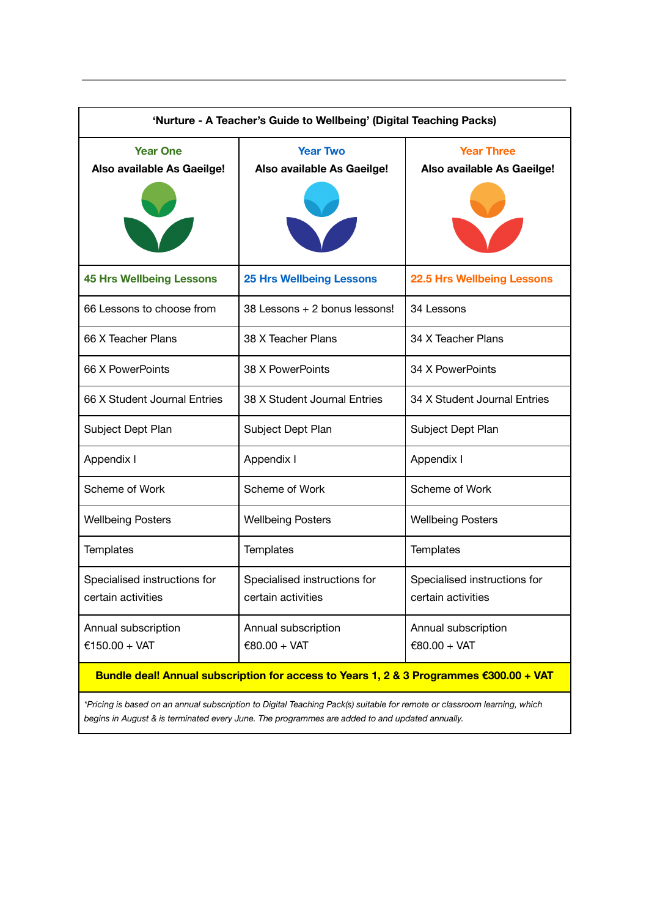| 'Nurture - A Teacher's Guide to Wellbeing' (Digital Teaching Packs)                    |                                                    |                                                    |  |
|----------------------------------------------------------------------------------------|----------------------------------------------------|----------------------------------------------------|--|
| <b>Year One</b><br>Also available As Gaeilge!                                          | <b>Year Two</b><br>Also available As Gaeilge!      | <b>Year Three</b><br>Also available As Gaeilge!    |  |
| <b>45 Hrs Wellbeing Lessons</b>                                                        | <b>25 Hrs Wellbeing Lessons</b>                    | <b>22.5 Hrs Wellbeing Lessons</b>                  |  |
| 66 Lessons to choose from                                                              | 38 Lessons + 2 bonus lessons!                      | 34 Lessons                                         |  |
| 66 X Teacher Plans                                                                     | 38 X Teacher Plans                                 | 34 X Teacher Plans                                 |  |
| 66 X PowerPoints                                                                       | 38 X PowerPoints                                   | 34 X PowerPoints                                   |  |
| 66 X Student Journal Entries                                                           | 38 X Student Journal Entries                       | 34 X Student Journal Entries                       |  |
| Subject Dept Plan                                                                      | Subject Dept Plan                                  | Subject Dept Plan                                  |  |
| Appendix I                                                                             | Appendix I                                         | Appendix I                                         |  |
| Scheme of Work                                                                         | Scheme of Work                                     | Scheme of Work                                     |  |
| <b>Wellbeing Posters</b>                                                               | <b>Wellbeing Posters</b>                           | <b>Wellbeing Posters</b>                           |  |
| Templates                                                                              | Templates                                          | Templates                                          |  |
| Specialised instructions for<br>certain activities                                     | Specialised instructions for<br>certain activities | Specialised instructions for<br>certain activities |  |
| Annual subscription<br>€150.00 + VAT                                                   | Annual subscription<br>€80.00 + VAT                | Annual subscription<br>€80.00 + VAT                |  |
| Bundle deal! Annual subscription for access to Years 1, 2 & 3 Programmes €300.00 + VAT |                                                    |                                                    |  |

\*Pricing is based on an annual subscription to Digital Teaching Pack(s) suitable for remote or classroom learning, which *begins in August & is terminated every June. The programmes are added to and updated annually.*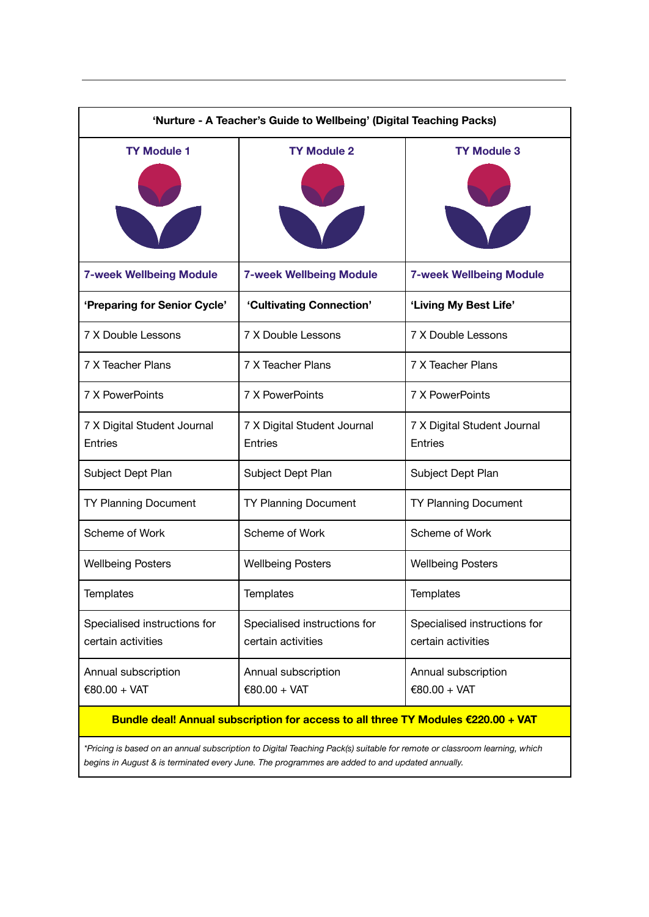| 'Nurture - A Teacher's Guide to Wellbeing' (Digital Teaching Packs)               |                                                    |                                                    |  |
|-----------------------------------------------------------------------------------|----------------------------------------------------|----------------------------------------------------|--|
| <b>TY Module 1</b>                                                                | <b>TY Module 2</b>                                 | <b>TY Module 3</b>                                 |  |
| <b>7-week Wellbeing Module</b>                                                    | <b>7-week Wellbeing Module</b>                     | <b>7-week Wellbeing Module</b>                     |  |
| 'Preparing for Senior Cycle'                                                      | 'Cultivating Connection'                           | 'Living My Best Life'                              |  |
| <b>7 X Double Lessons</b>                                                         | 7 X Double Lessons                                 | 7 X Double Lessons                                 |  |
| 7 X Teacher Plans                                                                 | 7 X Teacher Plans                                  | 7 X Teacher Plans                                  |  |
| 7 X PowerPoints                                                                   | 7 X PowerPoints                                    | 7 X PowerPoints                                    |  |
| 7 X Digital Student Journal<br><b>Entries</b>                                     | 7 X Digital Student Journal<br>Entries             | 7 X Digital Student Journal<br>Entries             |  |
| Subject Dept Plan                                                                 | Subject Dept Plan                                  | Subject Dept Plan                                  |  |
| <b>TY Planning Document</b>                                                       | <b>TY Planning Document</b>                        | <b>TY Planning Document</b>                        |  |
| Scheme of Work                                                                    | Scheme of Work                                     | Scheme of Work                                     |  |
| <b>Wellbeing Posters</b>                                                          | <b>Wellbeing Posters</b>                           | <b>Wellbeing Posters</b>                           |  |
| Templates                                                                         | Templates                                          | Templates                                          |  |
| Specialised instructions for<br>certain activities                                | Specialised instructions for<br>certain activities | Specialised instructions for<br>certain activities |  |
| Annual subscription<br>€80.00 + VAT                                               | Annual subscription<br>€80.00 + VAT                | Annual subscription<br>$€80.00 + VAT$              |  |
| Bundle deal! Annual subscription for access to all three TY Modules €220.00 + VAT |                                                    |                                                    |  |

\*Pricing is based on an annual subscription to Digital Teaching Pack(s) suitable for remote or classroom learning, which *begins in August & is terminated every June. The programmes are added to and updated annually.*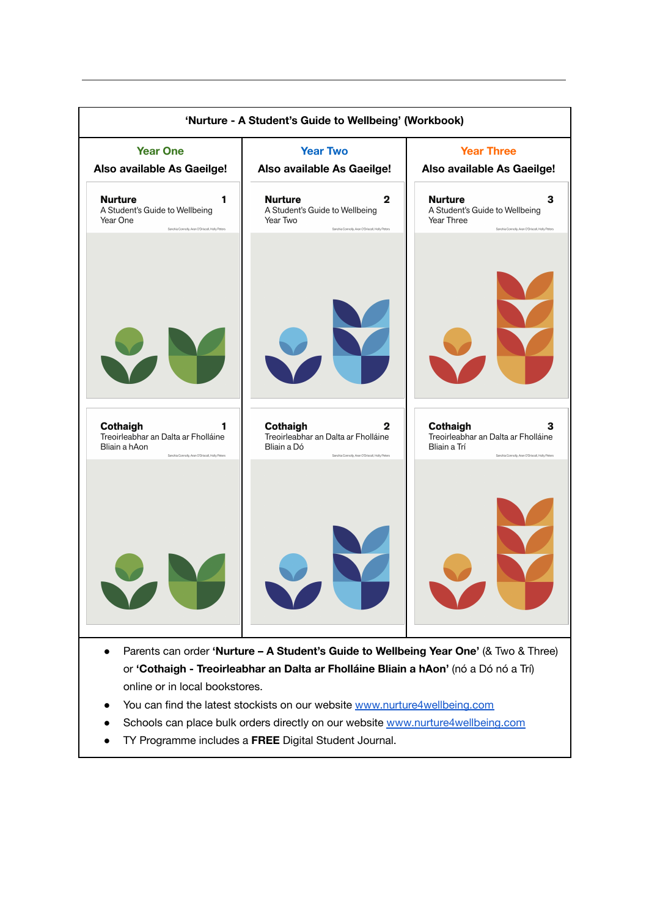

- Schools can place bulk orders directly on our website [www.nurture4wellbeing.com](http://www.nurture4wellbeing.com)
- TY Programme includes a **FREE** Digital Student Journal.